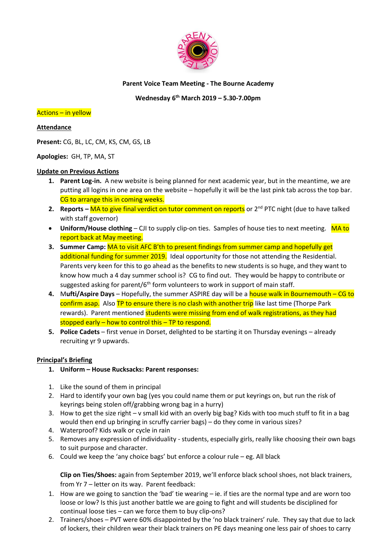

## **Parent Voice Team Meeting - The Bourne Academy**

# **Wednesday 6 th March 2019 – 5.30-7.00pm**

#### Actions – in yellow

#### **Attendance**

**Present:** CG, BL, LC, CM, KS, CM, GS, LB

### **Apologies:** GH, TP, MA, ST

### **Update on Previous Actions**

- **1. Parent Log-in.** A new website is being planned for next academic year, but in the meantime, we are putting all logins in one area on the website – hopefully it will be the last pink tab across the top bar. CG to arrange this in coming weeks.
- **2. Reports MA to give final verdict on tutor comment on reports** or 2<sup>nd</sup> PTC night (due to have talked with staff governor)
- **Uniform/House clothing** CJI to supply clip-on ties. Samples of house ties to next meeting. MA to report back at May meeting.
- **3. Summer Camp:** MA to visit AFC B'th to present findings from summer camp and hopefully get additional funding for summer 2019. Ideal opportunity for those not attending the Residential. Parents very keen for this to go ahead as the benefits to new students is so huge, and they want to know how much a 4 day summer school is? CG to find out. They would be happy to contribute or suggested asking for parent/ $6<sup>th</sup>$  form volunteers to work in support of main staff.
- **4.** M**ufti/Aspire Days**  Hopefully, the summer ASPIRE day will be a house walk in Bournemouth CG to confirm asap. Also TP to ensure there is no clash with another trip like last time (Thorpe Park rewards). Parent mentioned students were missing from end of walk registrations, as they had stopped early  $-$  how to control this  $-$  TP to respond.
- **5. Police Cadets** first venue in Dorset, delighted to be starting it on Thursday evenings already recruiting yr 9 upwards.

#### **Principal's Briefing**

- **1. Uniform – House Rucksacks: Parent responses:**
- 1. Like the sound of them in principal
- 2. Hard to identify your own bag (yes you could name them or put keyrings on, but run the risk of keyrings being stolen off/grabbing wrong bag in a hurry)
- 3. How to get the size right v small kid with an overly big bag? Kids with too much stuff to fit in a bag would then end up bringing in scruffy carrier bags) – do they come in various sizes?
- 4. Waterproof? Kids walk or cycle in rain
- 5. Removes any expression of individuality students, especially girls, really like choosing their own bags to suit purpose and character.
- 6. Could we keep the 'any choice bags' but enforce a colour rule eg. All black

**Clip on Ties/Shoes:** again from September 2019, we'll enforce black school shoes, not black trainers, from Yr 7 – letter on its way. Parent feedback:

- 1. How are we going to sanction the 'bad' tie wearing ie. if ties are the normal type and are worn too loose or low? Is this just another battle we are going to fight and will students be disciplined for continual loose ties – can we force them to buy clip-ons?
- 2. Trainers/shoes PVT were 60% disappointed by the 'no black trainers' rule. They say that due to lack of lockers, their children wear their black trainers on PE days meaning one less pair of shoes to carry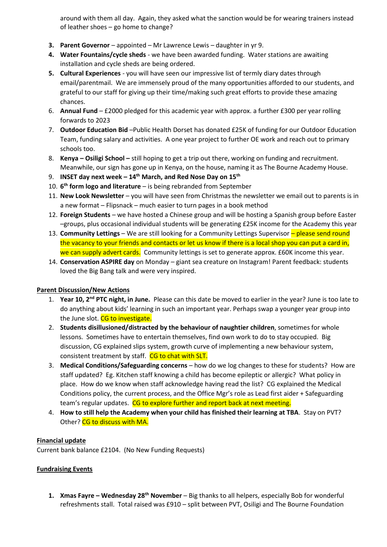around with them all day. Again, they asked what the sanction would be for wearing trainers instead of leather shoes – go home to change?

- **3. Parent Governor**  appointed Mr Lawrence Lewis daughter in yr 9.
- **4. Water Fountains/cycle sheds**  we have been awarded funding. Water stations are awaiting installation and cycle sheds are being ordered.
- **5. Cultural Experiences**  you will have seen our impressive list of termly diary dates through email/parentmail. We are immensely proud of the many opportunities afforded to our students, and grateful to our staff for giving up their time/making such great efforts to provide these amazing chances.
- 6. **Annual Fund**  £2000 pledged for this academic year with approx. a further £300 per year rolling forwards to 2023
- 7. **Outdoor Education Bid** –Public Health Dorset has donated £25K of funding for our Outdoor Education Team, funding salary and activities. A one year project to further OE work and reach out to primary schools too.
- 8. **Kenya – Osiligi School –** still hoping to get a trip out there, working on funding and recruitment. Meanwhile, our sign has gone up in Kenya, on the house, naming it as The Bourne Academy House.
- 9. **INSET day next week – 14th March, and Red Nose Day on 15th**
- 10. **6 th form logo and literature**  is being rebranded from September
- 11. **New Look Newsletter**  you will have seen from Christmas the newsletter we email out to parents is in a new format – Flipsnack – much easier to turn pages in a book method
- 12. **Foreign Students**  we have hosted a Chinese group and will be hosting a Spanish group before Easter –groups, plus occasional individual students will be generating £25K income for the Academy this year
- 13. **Community Lettings** We are still looking for a Community Lettings Supervisor please send round the vacancy to your friends and contacts or let us know if there is a local shop you can put a card in, we can supply advert cards. Community lettings is set to generate approx. £60K income this year.
- 14. **Conservation ASPIRE day** on Monday giant sea creature on Instagram! Parent feedback: students loved the Big Bang talk and were very inspired.

# **Parent Discussion/New Actions**

- 1. **Year 10, 2nd PTC night, in June.** Please can this date be moved to earlier in the year? June is too late to do anything about kids' learning in such an important year. Perhaps swap a younger year group into the June slot. CG to investigate.
- 2. **Students disillusioned/distracted by the behaviour of naughtier children**, sometimes for whole lessons. Sometimes have to entertain themselves, find own work to do to stay occupied. Big discussion, CG explained slips system, growth curve of implementing a new behaviour system, consistent treatment by staff. CG to chat with SLT.
- 3. **Medical Conditions/Safeguarding concerns** how do we log changes to these for students? How are staff updated? Eg. Kitchen staff knowing a child has become epileptic or allergic? What policy in place. How do we know when staff acknowledge having read the list? CG explained the Medical Conditions policy, the current process, and the Office Mgr's role as Lead first aider + Safeguarding team's regular updates. CG to explore further and report back at next meeting.
- 4. **How to still help the Academy when your child has finished their learning at TBA**. Stay on PVT? Other? CG to discuss with MA.

# **Financial update**

Current bank balance £2104. (No New Funding Requests)

# **Fundraising Events**

**1. Xmas Fayre – Wednesday 28th November** – Big thanks to all helpers, especially Bob for wonderful refreshments stall. Total raised was £910 – split between PVT, Osiligi and The Bourne Foundation